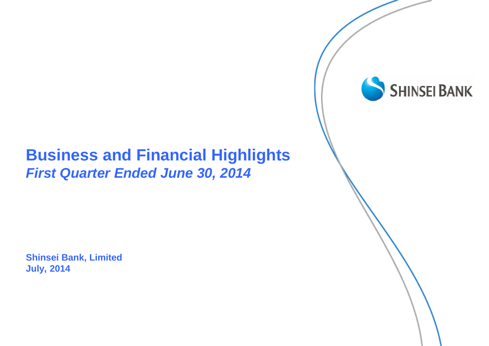#### **Business and Financial Highlights** *First Quarter Ended June 30, 2014*

**Shinsei Bank, Limited July, 2014**

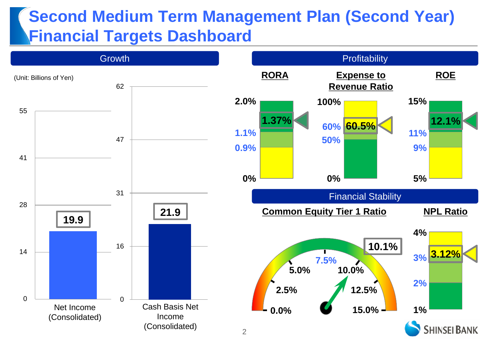### **Second Medium Term Management Plan (Second Year) Financial Targets Dashboard**

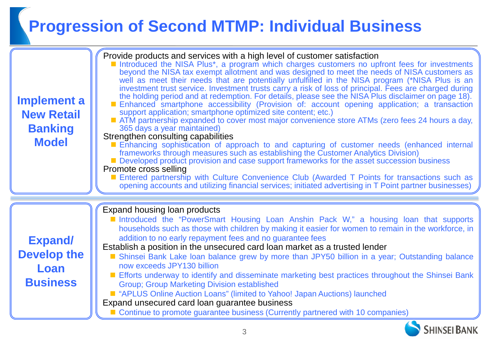# **Progression of Second MTMP: Individual Business**

| <b>Implement a</b><br><b>New Retail</b><br><b>Banking</b><br><b>Model</b> | Provide products and services with a high level of customer satisfaction<br>Introduced the NISA Plus*, a program which charges customers no upfront fees for investments<br>beyond the NISA tax exempt allotment and was designed to meet the needs of NISA customers as<br>well as meet their needs that are potentially unfulfilled in the NISA program (*NISA Plus is an<br>investment trust service. Investment trusts carry a risk of loss of principal. Fees are charged during<br>the holding period and at redemption. For details, please see the NISA Plus disclaimer on page 18).<br>Enhanced smartphone accessibility (Provision of: account opening application; a transaction<br>support application; smartphone optimized site content; etc.)<br>■ ATM partnership expanded to cover most major convenience store ATMs (zero fees 24 hours a day,<br>365 days a year maintained)<br>Strengthen consulting capabilities<br>Enhancing sophistication of approach to and capturing of customer needs (enhanced internal<br>frameworks through measures such as establishing the Customer Analytics Division)<br>Developed product provision and case support frameworks for the asset succession business<br>Promote cross selling<br>Entered partnership with Culture Convenience Club (Awarded T Points for transactions such as<br>opening accounts and utilizing financial services; initiated advertising in T Point partner businesses) |
|---------------------------------------------------------------------------|-----------------------------------------------------------------------------------------------------------------------------------------------------------------------------------------------------------------------------------------------------------------------------------------------------------------------------------------------------------------------------------------------------------------------------------------------------------------------------------------------------------------------------------------------------------------------------------------------------------------------------------------------------------------------------------------------------------------------------------------------------------------------------------------------------------------------------------------------------------------------------------------------------------------------------------------------------------------------------------------------------------------------------------------------------------------------------------------------------------------------------------------------------------------------------------------------------------------------------------------------------------------------------------------------------------------------------------------------------------------------------------------------------------------------------------------------------------|
| <b>Expand/</b><br><b>Develop the</b><br>Loan<br><b>Business</b>           | Expand housing loan products<br>Introduced the "PowerSmart Housing Loan Anshin Pack W," a housing loan that supports<br>households such as those with children by making it easier for women to remain in the workforce, in<br>addition to no early repayment fees and no guarantee fees<br>Establish a position in the unsecured card loan market as a trusted lender<br>Shinsei Bank Lake Ioan balance grew by more than JPY50 billion in a year; Outstanding balance<br>now exceeds JPY130 billion<br>Efforts underway to identify and disseminate marketing best practices throughout the Shinsei Bank<br><b>Group; Group Marketing Division established</b><br>■ "APLUS Online Auction Loans" (limited to Yahoo! Japan Auctions) launched<br>Expand unsecured card loan guarantee business<br>■ Continue to promote guarantee business (Currently partnered with 10 companies)                                                                                                                                                                                                                                                                                                                                                                                                                                                                                                                                                                       |

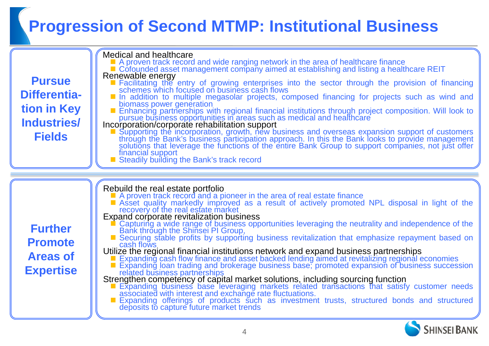# **Progression of Second MTMP: Institutional Business**

| <b>Pursue</b><br>Differentia-<br>tion in Key<br>Industries/<br><b>Fields</b> | <b>Medical and healthcare</b><br>■ A proven track record and wide ranging network in the area of healthcare finance<br>■ Cofounded asset management company aimed at establishing and listing a healthcare REIT<br>Renewable energy<br>■ Facilitating the entry of growing enterprises into the sector through the provision of financing schemes which focused on business cash flows<br>In addition to multiple megasolar projects, composed financing for projects such as wind and<br>biomass power generation<br>Enhancing partnerships with regional financial institutions through project composition. Will look to<br>pursue business opportunities in areas such as medical and healthcare<br>Incorporation/corporate rehabilitation support<br>Supporting the incorporation, growth, new business and overseas expansion support of customers<br>through the Bank's business participation approach. In this the Bank looks to provide management<br>solutions that leverage the functions of the entire Bank Group to support companies, not just offer<br>financial support<br>Steadily building the Bank's track record                     |
|------------------------------------------------------------------------------|-----------------------------------------------------------------------------------------------------------------------------------------------------------------------------------------------------------------------------------------------------------------------------------------------------------------------------------------------------------------------------------------------------------------------------------------------------------------------------------------------------------------------------------------------------------------------------------------------------------------------------------------------------------------------------------------------------------------------------------------------------------------------------------------------------------------------------------------------------------------------------------------------------------------------------------------------------------------------------------------------------------------------------------------------------------------------------------------------------------------------------------------------------------|
| <b>Further</b><br><b>Promote</b><br><b>Areas of</b><br><b>Expertise</b>      | Rebuild the real estate portfolio<br>A proven track record and a pioneer in the area of real estate finance<br>Asset quality markedly improved as a result of actively promoted NPL disposal in light of the<br>recovery of the real<br>Capturing a wide range of business opportunities leveraging the neutrality and independence of the Bank through the Shinsei PI Group,<br>■ Securing stable profits by supporting business revitalization that emphasize repayment based on<br>cash flows<br>Utilize the regional financial institutions network and expand business partnerships<br>■ Expanding cash flow finance and asset backed lending aimed at revitalizing regional economies<br>■ Expanding loan trading and brokerage b<br>related business partnerships<br>Strengthen competency of capital market solutions, including sourcing function<br>Expanding business base leveraging markets related transactions that satisfy customer needs<br>associated with interest and exchange rate fluctuat<br>■ Expanding offerings of products such as investment trusts, structured bonds and structured deposits to capture future market trends |

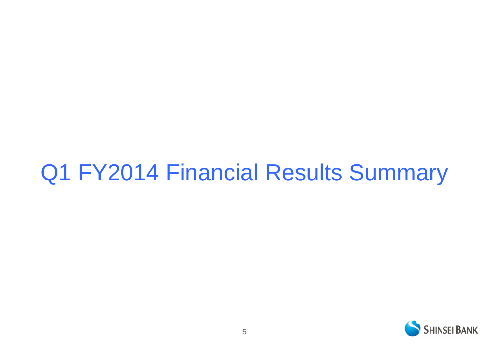# Q1 FY2014 Financial Results Summary

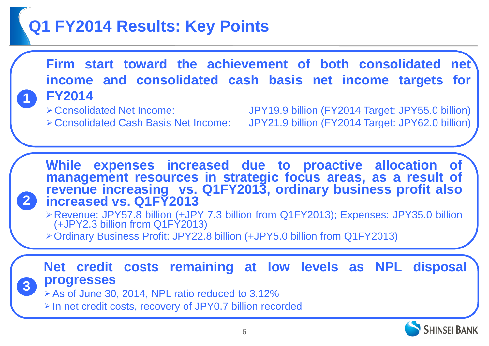## **Q1 FY2014 Results: Key Points**

**Firm start toward the achievement of both consolidated net income and consolidated cash basis net income targets for FY2014**

**1**

**2**

 Consolidated Net Income: JPY19.9 billion (FY2014 Target: JPY55.0 billion) Consolidated Cash Basis Net Income: JPY21.9 billion (FY2014 Target: JPY62.0 billion)

**While expenses increased due to proactive allocation of management resources in strategic focus areas, as a result of revenue increasing vs. Q1FY2013, ordinary business profit also increased vs. Q1FY2013**

- Revenue: JPY57.8 billion (+JPY 7.3 billion from Q1FY2013); Expenses: JPY35.0 billion (+JPY2.3 billion from Q1FY2013)
- Ordinary Business Profit: JPY22.8 billion (+JPY5.0 billion from Q1FY2013)

#### **Net credit costs remaining at low levels as NPL disposal progresses 3**

 $\triangleright$  As of June 30, 2014, NPL ratio reduced to 3.12%

In net credit costs, recovery of JPY0.7 billion recorded

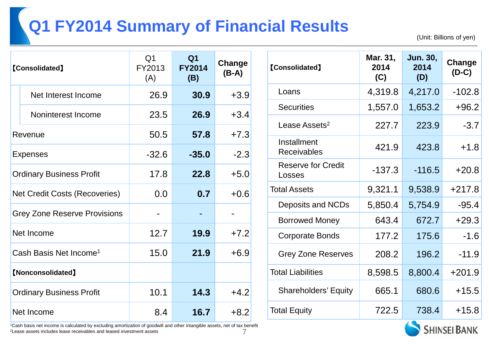# **Q1 FY2014 Summary of Financial Results**

(Unit: Billions of yen)

| <b>[Consolidated]</b>                |                     | Q <sub>1</sub><br>FY2013<br>(A) | Q <sub>1</sub><br><b>FY2014</b><br>(B) | Change<br>$(B-A)$ |
|--------------------------------------|---------------------|---------------------------------|----------------------------------------|-------------------|
|                                      | Net Interest Income | 26.9                            | 30.9                                   | $+3.9$            |
|                                      | Noninterest Income  | 23.5                            | 26.9                                   | $+3.4$            |
| Revenue                              |                     | 50.5                            | 57.8                                   | $+7.3$            |
| <b>Expenses</b>                      |                     | $-32.6$                         | $-35.0$                                | $-2.3$            |
| <b>Ordinary Business Profit</b>      |                     | 17.8                            | 22.8                                   | $+5.0$            |
| <b>Net Credit Costs (Recoveries)</b> |                     | 0.0                             | 0.7                                    | $+0.6$            |
| <b>Grey Zone Reserve Provisions</b>  |                     |                                 |                                        |                   |
| Net Income                           |                     | 12.7                            | 19.9                                   | $+7.2$            |
| Cash Basis Net Income <sup>1</sup>   |                     | 15.0                            | 21.9                                   | $+6.9$            |
| [Nonconsolidated]                    |                     |                                 |                                        |                   |
| <b>Ordinary Business Profit</b>      |                     | 10.1                            | 14.3                                   | $+4.2$            |
| Net Income                           |                     | 8.4                             | 16.7                                   | $+8.2$            |

| <b>[Consolidated]</b>               | Mar. 31,<br>2014<br>(C) | <b>Jun. 30,</b><br>2014<br>(D) | Change<br>$(D-C)$ |
|-------------------------------------|-------------------------|--------------------------------|-------------------|
| Loans                               | 4,319.8                 | 4,217.0                        | $-102.8$          |
| <b>Securities</b>                   | 1,557.0                 | 1,653.2                        | $+96.2$           |
| Lease Assets <sup>2</sup>           | 227.7                   | 223.9                          | $-3.7$            |
| Installment<br><b>Receivables</b>   | 421.9                   | 423.8                          | $+1.8$            |
| <b>Reserve for Credit</b><br>Losses | $-137.3$                | $-116.5$                       | $+20.8$           |
| <b>Total Assets</b>                 | 9,321.1                 | 9,538.9                        | $+217.8$          |
| Deposits and NCDs                   | 5,850.4                 | 5,754.9                        | $-95.4$           |
| <b>Borrowed Money</b>               | 643.4                   | 672.7                          | $+29.3$           |
| <b>Corporate Bonds</b>              | 177.2                   | 175.6                          | $-1.6$            |
| <b>Grey Zone Reserves</b>           | 208.2                   | 196.2                          | $-11.9$           |
| <b>Total Liabilities</b>            | 8,598.5                 | 8,800.4                        | $+201.9$          |
| <b>Shareholders' Equity</b>         | 665.1                   | 680.6                          | $+15.5$           |
| <b>Total Equity</b>                 | 722.5                   | 738.4                          | $+15.8$           |

7 1Cash basis net income is calculated by excluding amortization of goodwill and other intangible assets, net of tax benefit 2Lease assets includes lease receivables and leased investment assets

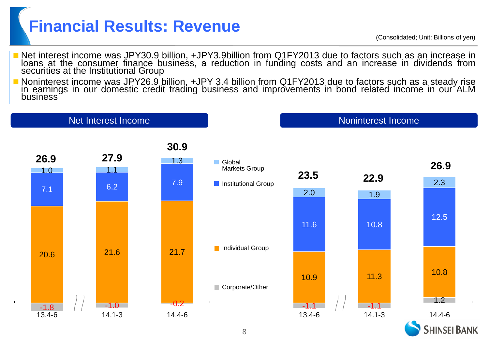## **Financial Results: Revenue**

- Net interest income was JPY30.9 billion, +JPY3.9billion from Q1FY2013 due to factors such as an increase in loans at the consumer finance business, a reduction in funding costs and an increase in dividends from securities at the Institutional Group
- Noninterest income was JPY26.9 billion, +JPY 3.4 billion from Q1FY2013 due to factors such as a steady rise in earnings in our domestic credit trading business and improvements in bond related income in our ALM business

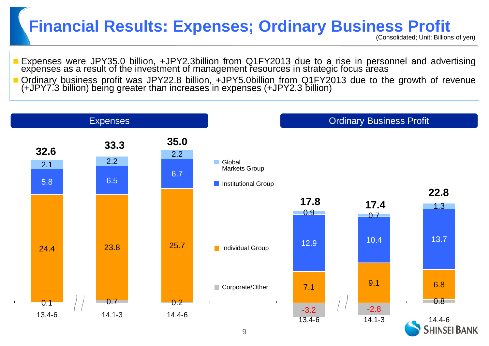### **Financial Results: Expenses; Ordinary Business Profit**

- Expenses were JPY35.0 billion, +JPY2.3billion from Q1FY2013 due to a rise in personnel and advertising expenses as a result of the investment of management resources in strategic focus areas
- Ordinary business profit was JPY22.8 billion, +JPY5.0billion from Q1FY2013 due to the growth of revenue (+JPY7.3 billion) being greater than increases in expenses (+JPY2.3 billion)

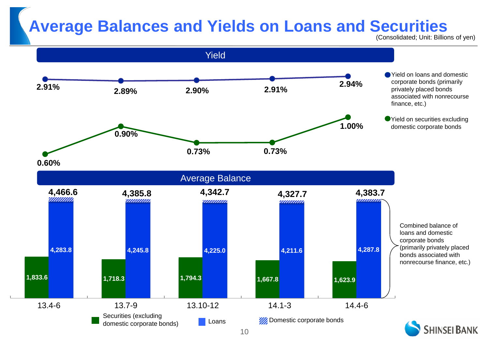### **Average Balances and Yields on Loans and Securities**

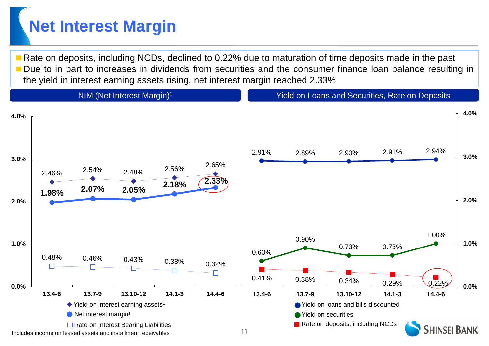## **Net Interest Margin**

 Rate on deposits, including NCDs, declined to 0.22% due to maturation of time deposits made in the past Due to in part to increases in dividends from securities and the consumer finance loan balance resulting in the yield in interest earning assets rising, net interest margin reached 2.33%

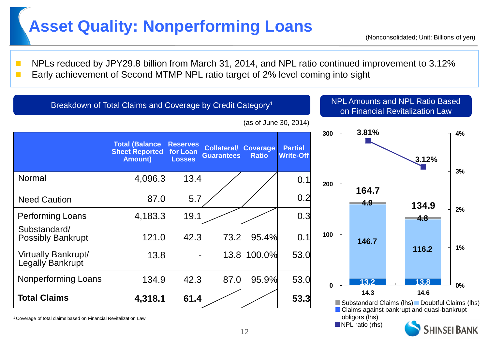### **Asset Quality: Nonperforming Loans**

**NPLs reduced by JPY29.8 billion from March 31, 2014, and NPL ratio continued improvement to 3.12% Early achievement of Second MTMP NPL ratio target of 2% level coming into sight** 



12

<sup>1</sup> Coverage of total claims based on Financial Revitalization Law obligors (lhs)

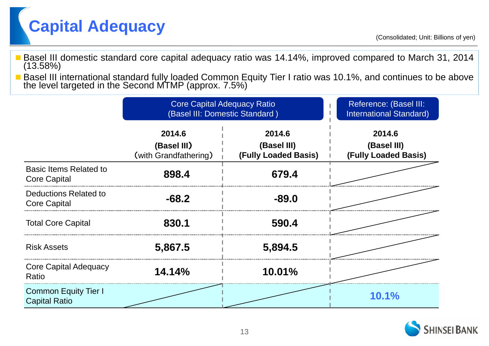

- Basel III domestic standard core capital adequacy ratio was 14.14%, improved compared to March 31, 2014 (13.58%)
- Basel III international standard fully loaded Common Equity Tier I ratio was 10.1%, and continues to be above the level targeted in the Second MTMP (approx. 7.5%)

|                                                      | <b>Core Capital Adequacy Ratio</b><br>(Basel III: Domestic Standard) | Reference: (Basel III:<br><b>International Standard)</b> |                                                      |
|------------------------------------------------------|----------------------------------------------------------------------|----------------------------------------------------------|------------------------------------------------------|
|                                                      | 2014.6<br>(Basel III)<br>(with Grandfathering)                       | 2014.6<br>(Basel III)<br>(Fully Loaded Basis)            | 2014.6<br>(Basel III)<br><b>(Fully Loaded Basis)</b> |
| <b>Basic Items Related to</b><br><b>Core Capital</b> | 898.4                                                                | 679.4                                                    |                                                      |
| Deductions Related to<br><b>Core Capital</b>         | $-68.2$                                                              | $-89.0$                                                  |                                                      |
| <b>Total Core Capital</b>                            | 830.1                                                                | 590.4                                                    |                                                      |
| <b>Risk Assets</b>                                   | 5,867.5                                                              | 5,894.5                                                  |                                                      |
| <b>Core Capital Adequacy</b><br>Ratio                | 14.14%                                                               | 10.01%                                                   |                                                      |
| <b>Common Equity Tier I</b><br><b>Capital Ratio</b>  |                                                                      |                                                          | 10.1%                                                |

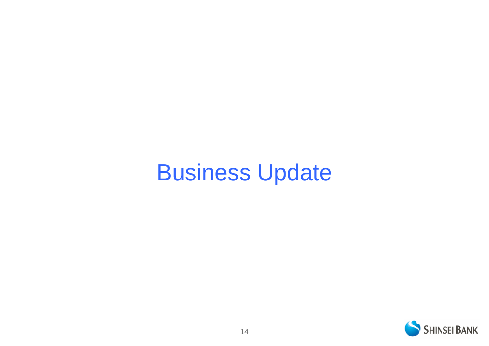# Business Update

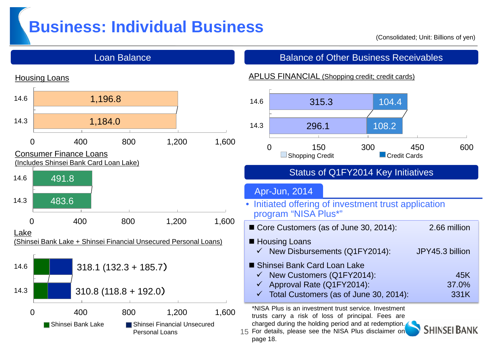### **Business: Individual Business**

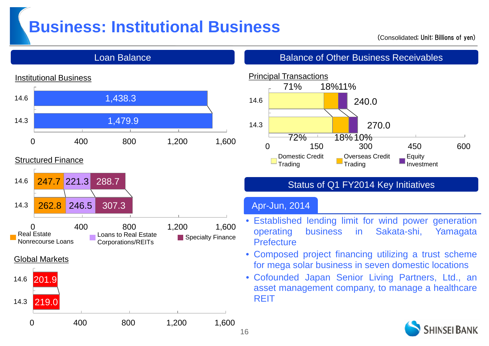### **Business: Institutional Business**

#### (Consolidated; Unit: Billions of yen)



#### Structured Finance





Loan Balance **Balance Balance of Other Business Receivables** 



#### Status of Q1 FY2014 Key Initiatives

#### Apr-Jun, 2014

- Established lending limit for wind power generation operating business in Sakata-shi, Yamagata **Prefecture**
- Composed project financing utilizing a trust scheme for mega solar business in seven domestic locations
- Cofounded Japan Senior Living Partners, Ltd., an asset management company, to manage a healthcare **REIT**

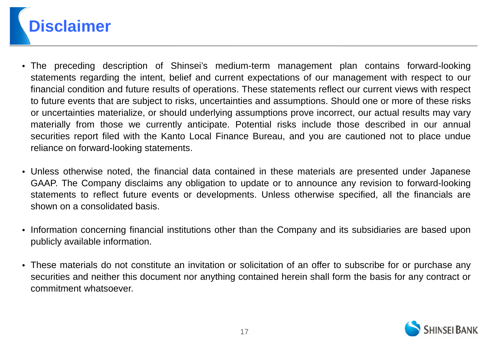

- The preceding description of Shinsei's medium-term management plan contains forward-looking statements regarding the intent, belief and current expectations of our management with respect to our financial condition and future results of operations. These statements reflect our current views with respect to future events that are subject to risks, uncertainties and assumptions. Should one or more of these risks or uncertainties materialize, or should underlying assumptions prove incorrect, our actual results may vary materially from those we currently anticipate. Potential risks include those described in our annual securities report filed with the Kanto Local Finance Bureau, and you are cautioned not to place undue reliance on forward-looking statements.
- Unless otherwise noted, the financial data contained in these materials are presented under Japanese GAAP. The Company disclaims any obligation to update or to announce any revision to forward-looking statements to reflect future events or developments. Unless otherwise specified, all the financials are shown on a consolidated basis.
- Information concerning financial institutions other than the Company and its subsidiaries are based upon publicly available information.
- These materials do not constitute an invitation or solicitation of an offer to subscribe for or purchase any securities and neither this document nor anything contained herein shall form the basis for any contract or commitment whatsoever.